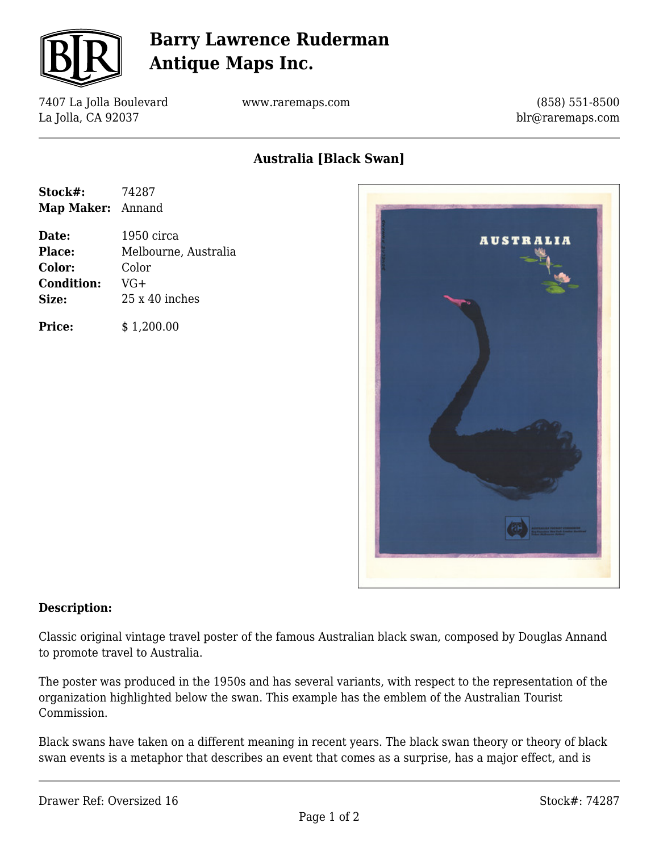

# **Barry Lawrence Ruderman Antique Maps Inc.**

7407 La Jolla Boulevard La Jolla, CA 92037

www.raremaps.com

(858) 551-8500 blr@raremaps.com

## **Australia [Black Swan]**

| Stock#:           | 74287 |
|-------------------|-------|
| Map Maker: Annand |       |

**Date:** 1950 circa **Place:** Melbourne, Australia **Color:** Color **Condition:** VG+ **Size:** 25 x 40 inches

**Price:**  $$ 1,200.00$ 



#### **Description:**

Classic original vintage travel poster of the famous Australian black swan, composed by Douglas Annand to promote travel to Australia.

The poster was produced in the 1950s and has several variants, with respect to the representation of the organization highlighted below the swan. This example has the emblem of the Australian Tourist Commission.

Black swans have taken on a different meaning in recent years. The black swan theory or theory of black swan events is a metaphor that describes an event that comes as a surprise, has a major effect, and is